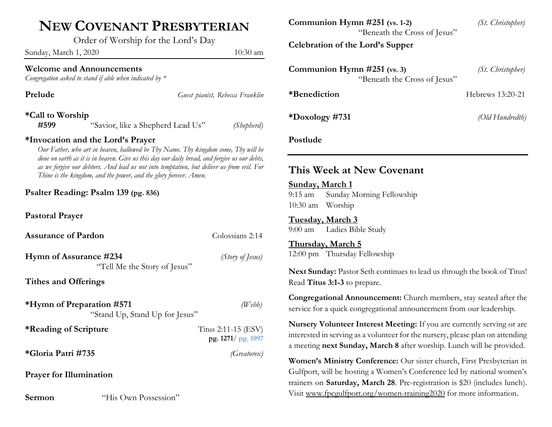# **NEW COVENANT PRESBYTERIAN**

Order of Worship for the Lord's Day

Sunday, March 1, 2020 10:30 am

## **Welcome and Announcements**

*Congregation asked to stand if able when indicated by \**

| Prelude                              |                                                                                                                                                                                                                                                                                                                                                       | Guest pianist, Rebecca Franklin           |
|--------------------------------------|-------------------------------------------------------------------------------------------------------------------------------------------------------------------------------------------------------------------------------------------------------------------------------------------------------------------------------------------------------|-------------------------------------------|
| *Call to Worship<br>#599             | "Savior, like a Shepherd Lead Us"                                                                                                                                                                                                                                                                                                                     | (Shepherd)                                |
| *Invocation and the Lord's Prayer    | Our Father, who art in heaven, hallowed be Thy Name. Thy kingdom come, Thy will be<br>done on earth as it is in heaven. Give us this day our daily bread, and forgive us our debts,<br>as we forgive our debtors. And lead us not into temptation, but deliver us from evil. For<br>Thine is the kingdom, and the power, and the glory forever. Amen. |                                           |
| Psalter Reading: Psalm 139 (pg. 836) |                                                                                                                                                                                                                                                                                                                                                       |                                           |
| <b>Pastoral Prayer</b>               |                                                                                                                                                                                                                                                                                                                                                       |                                           |
| <b>Assurance of Pardon</b>           |                                                                                                                                                                                                                                                                                                                                                       | Colossians 2:14                           |
| Hymn of Assurance #234               | "Tell Me the Story of Jesus"                                                                                                                                                                                                                                                                                                                          | (Story of Jesus)                          |
| <b>Tithes and Offerings</b>          |                                                                                                                                                                                                                                                                                                                                                       |                                           |
| *Hymn of Preparation #571            | "Stand Up, Stand Up for Jesus"                                                                                                                                                                                                                                                                                                                        | (Webb)                                    |
| *Reading of Scripture                |                                                                                                                                                                                                                                                                                                                                                       | Titus 2:11-15 (ESV)<br>pg. 1271/ pg. 1097 |
| *Gloria Patri #735                   |                                                                                                                                                                                                                                                                                                                                                       | (Greatorex)                               |
| <b>Prayer for Illumination</b>       |                                                                                                                                                                                                                                                                                                                                                       |                                           |

**Sermon** "His Own Possession"

**Communion Hymn #251 (vs. 1-2)** *(St. Christopher)* "Beneath the Cross of Jesus"

**Celebration of the Lord's Supper**

| Communion Hymn $\#251$ (vs. 3) | (St. Christopher) |
|--------------------------------|-------------------|
| "Beneath the Cross of Jesus"   |                   |
| *Benediction                   | Hebrews 13:20-21  |

**\*Doxology #731** *(Old Hundredth)*

#### **Postlude**

## **This Week at New Covenant**

#### **Sunday, March 1**

9:15 am Sunday Morning Fellowship 10:30 am Worship

**Tuesday, March 3** 9:00 am Ladies Bible Study

#### **Thursday, March 5** 12:00 pm Thursday Fellowship

Next Sunday: Pastor Seth continues to lead us through the book of Titus! Read **Titus 3:1-3** to prepare.

**Congregational Announcement:** Church members, stay seated after the service for a quick congregational announcement from our leadership.

**Nursery Volunteer Interest Meeting:** If you are currently serving or are interested in serving as a volunteer for the nursery, please plan on attending a meeting **next Sunday, March 8** after worship. Lunch will be provided.

**Women's Ministry Conference:** Our sister church, First Presbyterian in Gulfport, will be hosting a Women's Conference led by national women's trainers on **Saturday, March 28**. Pre-registration is \$20 (includes lunch). Visit [www.fpcgulfport.org/women-training2020](http://www.fpcgulfport.org/women-training2020) for more information.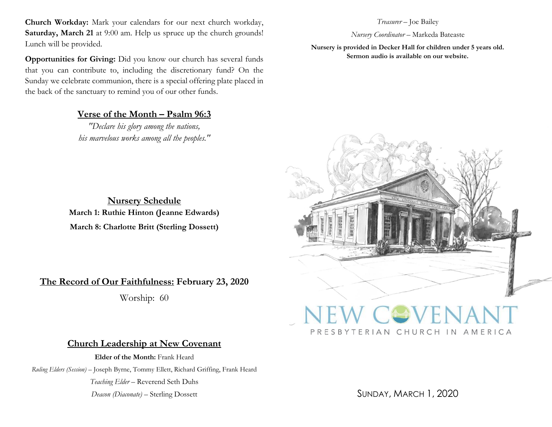**Church Workday:** Mark your calendars for our next church workday, **Saturday, March 21** at 9:00 am. Help us spruce up the church grounds! Lunch will be provided.

**Opportunities for Giving:** Did you know our church has several funds that you can contribute to, including the discretionary fund? On the Sunday we celebrate communion, there is a special offering plate placed in the back of the sanctuary to remind you of our other funds.

### **Verse of the Month – Psalm 96:3**

*"Declare his glory among the nations, his marvelous works among all the peoples."*

**Nursery Schedule March 1: Ruthie Hinton (Jeanne Edwards) March 8: Charlotte Britt (Sterling Dossett)**

**The Record of Our Faithfulness: February 23, 2020**

Worship: 60

### **Church Leadership at New Covenant**

**Elder of the Month:** Frank Heard

*Ruling Elders (Session)* – Joseph Byrne, Tommy Ellett, Richard Griffing, Frank Heard *Teaching Elder* – Reverend Seth Duhs

*Deacon (Diaconate)* – Sterling Dossett

*Treasurer –* Joe Bailey

*Nursery Coordinator –* Markeda Bateaste

**Nursery is provided in Decker Hall for children under 5 years old. Sermon audio is available on our website.**



# LOVE. PRESBYTERIAN CHURCH IN AMERICA

SUNDAY, MARCH 1, 2020